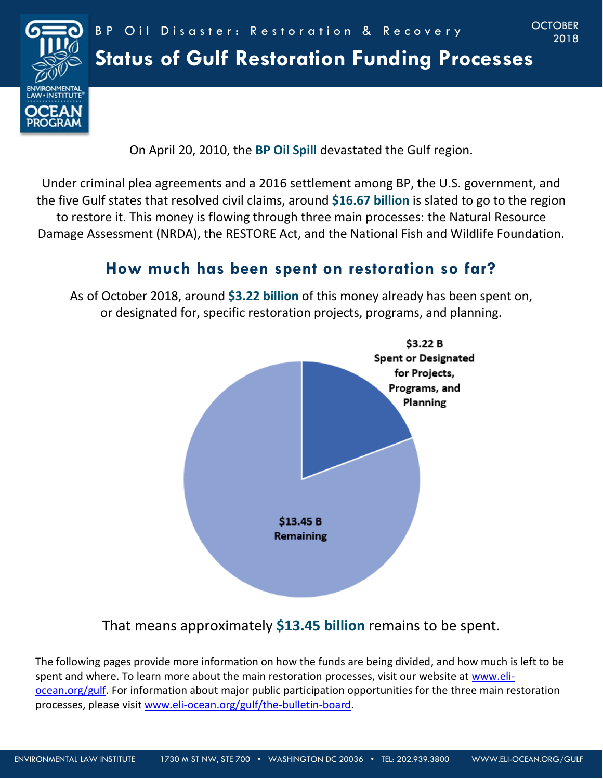

# **Status of Gulf Restoration Funding Processes**

On April 20, 2010, the **BP Oil Spill** devastated the Gulf region.

Under criminal plea agreements and a 2016 settlement among BP, the U.S. government, and the five Gulf states that resolved civil claims, around **\$16.67 billion** is slated to go to the region to restore it. This money is flowing through three main processes: the Natural Resource Damage Assessment (NRDA), the RESTORE Act, and the National Fish and Wildlife Foundation.

# **How much has been spent on restoration so far?**

As of October 2018, around **\$3.22 billion** of this money already has been spent on, or designated for, specific restoration projects, programs, and planning.



That means approximately **\$13.45 billion** remains to be spent.

The following pages provide more information on how the funds are being divided, and how much is left to be spent and where. To learn more about the main restoration processes, visit our website at [www.eli](http://www.eli-ocean.org/gulf)[ocean.org/gulf.](http://www.eli-ocean.org/gulf) For information about major public participation opportunities for the three main restoration processes, please visit [www.eli-ocean.org/gulf/the-bulletin-board.](http://www.eli-ocean.org/gulf/the-bulletin-board)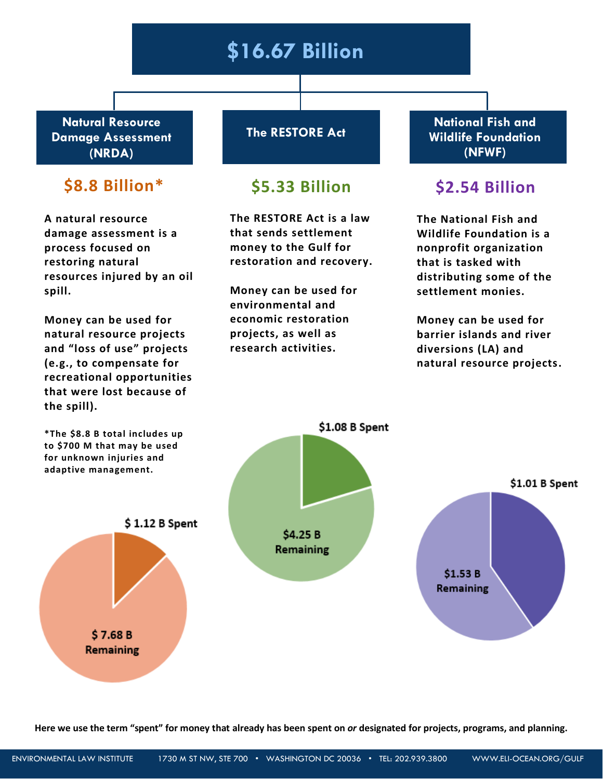# **\$16.67 Billion**

**Natural Resource Damage Assessment (NRDA)**

## **\$8.8 Billion\* \$5.33 Billion \$2.54 Billion**

**A natural resource damage assessment is a process focused on restoring natural resources injured by an oil spill.**

**Money can be used for natural resource projects and "loss of use" projects (e.g., to compensate for recreational opportunities that were lost because of the spill).**

**The RESTORE Act**

**The RESTORE Act is a law that sends settlement money to the Gulf for restoration and recovery.**

**Money can be used for environmental and economic restoration projects, as well as research activities.**

**National Fish and Wildlife Foundation (NFWF)** 

**The National Fish and Wildlife Foundation is a nonprofit organization that is tasked with distributing some of the settlement monies.** 

**Money can be used for barrier islands and river diversions (LA) and natural resource projects.**



**Here we use the term "spent" for money that already has been spent on** *or* **designated for projects, programs, and planning.**